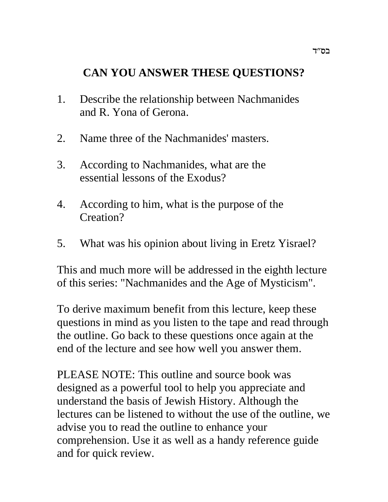# **CAN YOU ANSWER THESE QUESTIONS?**

- 1. Describe the relationship between Nachmanides and R. Yona of Gerona.
- 2. Name three of the Nachmanides' masters.
- 3. According to Nachmanides, what are the essential lessons of the Exodus?
- 4. According to him, what is the purpose of the Creation?
- 5. What was his opinion about living in Eretz Yisrael?

This and much more will be addressed in the eighth lecture of this series: "Nachmanides and the Age of Mysticism".

To derive maximum benefit from this lecture, keep these questions in mind as you listen to the tape and read through the outline. Go back to these questions once again at the end of the lecture and see how well you answer them.

PLEASE NOTE: This outline and source book was designed as a powerful tool to help you appreciate and understand the basis of Jewish History. Although the lectures can be listened to without the use of the outline, we advise you to read the outline to enhance your comprehension. Use it as well as a handy reference guide and for quick review.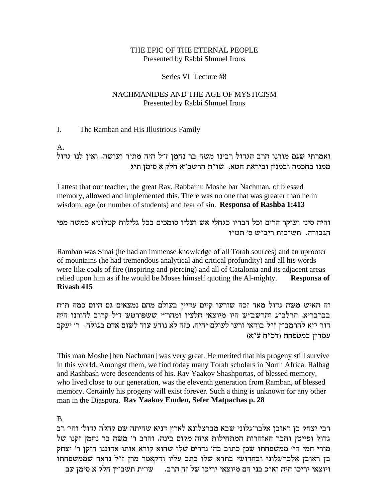### THE EPIC OF THE ETERNAL PEOPLE Presented by Rabbi Shmuel Irons

### Series VI Lecture #8

### NACHMANIDES AND THE AGE OF MYSTICISM Presented by Rabbi Shmuel Irons

 $\mathbf{I}$ . The Ramban and His Illustrious Family

А.

ואמרתי שגם מורנו הרב הגדול רבינו משה בר נחמן ז"ל היה מתיר ועושה. ואין לנו גדול ממנו בחכמה ובמנין וביראת חטא. שו"ת הרשב"א חלק א סימן תיג

I attest that our teacher, the great Rav, Rabbainu Moshe bar Nachman, of blessed memory, allowed and implemented this. There was no one that was greater than he in wisdom, age (or number of students) and fear of sin. Responsa of Rashba 1:413

והיה סיני ועוקר הרים וכל דבריו כגחלי אש ועליו סומכים בכל גלילות קטלוניא כמשה מפי הגבורה. תשובות ריב"ש ס' תט"ו

Ramban was Sinai (he had an immense knowledge of all Torah sources) and an uprooter of mountains (he had tremendous analytical and critical profundity) and all his words were like coals of fire (inspiring and piercing) and all of Catalonia and its adjacent areas relied upon him as if he would be Moses himself quoting the Al-mighty. Responsa of Rivash 415

זה האיש משה גדול מאד זכה שזרעו קיים עדיין בעולם מהם נמצאים גם היום כמה ת"ח בברבריא. הרלב"ג והרשב"ש היו מיוצאי חלציו ומהר"י ששפורטש ז"ל קרוב לדורנו היה דור י"א להרמב"ן ז"ל בודאי זרעו לעולם יהיה, כזה לא נודע עוד לשום אדם בגולה. ר' יעקב עמדין במטפחת (דכ"ח ע"א)

This man Moshe [ben Nachman] was very great. He merited that his progeny still survive in this world. Amongst them, we find today many Torah scholars in North Africa. Ralbag and Rashbash were descendents of his. Rav Yaakov Shashportas, of blessed memory, who lived close to our generation, was the eleventh generation from Ramban, of blessed memory. Certainly his progeny will exist forever. Such a thing is unknown for any other man in the Diaspora. Rav Yaakov Emden, Sefer Matpachas p. 28

### $B<sub>1</sub>$

רבי יצחק בן ראובן אלבר׳גלוני שבא מברצלונא לארץ דניא שהיתה שם קהלה גדול׳ והי׳ רב גדול ופייטן וחבר האזהרות המתחילות איזה מקום בינה. והרב ר' משה בר נחמן זקנו של מורי חמי הי' ממשפחתו שכן כתוב בה' נדרים שלו שהוא קורא אותו אדוננו הזקן ר' יצחק בן ראובן אלבר׳גלוני ובחדושי בתרא שלו כתב עליו ודקאמר מרן ז״ל נראה שממשפחתו ויוצאי יריכו היה וא״כ בני הם מיוצאי יריכו של זה הרב. שו״ת תשב״ץ חלק א סימן עב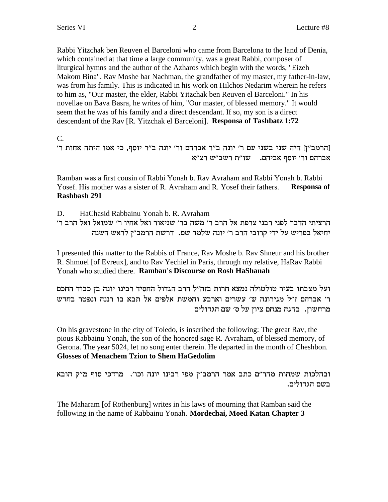Rabbi Yitzchak ben Reuven el Barceloni who came from Barcelona to the land of Denia, which contained at that time a large community, was a great Rabbi, composer of liturgical hymns and the author of the Azharos which begin with the words, "Eizeh Makom Bina". Rav Moshe bar Nachman, the grandfather of my master, my father-in-law, was from his family. This is indicated in his work on Hilchos Nedarim wherein he refers to him as, "Our master, the elder, Rabbi Yitzchak ben Reuven el Barceloni." In his novellae on Bava Basra, he writes of him, "Our master, of blessed memory." It would seem that he was of his family and a direct descendant. If so, my son is a direct descendant of the Rav [R. Yitzchak el Barceloni]. **Responsa of Tashbatz 1:72**

C.

'הרמב"ז] היה שני בשני עם ר' יונה ב"ר אברהם ור' יונה ב"ר יוסף, כי אמו היתה אחות ר אברהם ור' יוסף אביהם. שו"ת רשב"ש רצ"א

Ramban was a first cousin of Rabbi Yonah b. Rav Avraham and Rabbi Yonah b. Rabbi Yosef. His mother was a sister of R. Avraham and R. Yosef their fathers. **Responsa of Rashbash 291**

D. HaChasid Rabbainu Yonah b. R. Avraham

הרציתי הדבר לפני רבני צרפת אל הרב ר׳ משה בר׳ שניאור ואל אחיו ר׳ שמואל ואל הרב ר׳ <del>.</del> יחיאל בפריש על ידי קרובי הרב ר׳ יונה שלמד שם. דרשת הרמב״ז לראש השנה

I presented this matter to the Rabbis of France, Rav Moshe b. Rav Shneur and his brother R. Shmuel [of Evreux], and to Rav Yechiel in Paris, through my relative, HaRav Rabbi Yonah who studied there. **Ramban's Discourse on Rosh HaShanah**

ועל מצבתו בעיר טולטולה נמצא חרות בזה"ל הרב הגדול החסיד רבינו יונה בן כבוד החכם ר' אברהם ז"ל מגירונה ש' עשרים וארבע וחמשת אלפים אל תבא בו רננה ונפטר בחדש מרחשון. בהגה מנחם ציון על ס׳ שם הגדולים

On his gravestone in the city of Toledo, is inscribed the following: The great Rav, the pious Rabbainu Yonah, the son of the honored sage R. Avraham, of blessed memory, of Gerona. The year 5024, let no song enter therein. He departed in the month of Cheshbon. **Glosses of Menachem Tzion to Shem HaGedolim**

ובהלכות שמחות מהר"ם כתב אמר הרמב"ן מפי רבינו יונה וכו'. מרדכי סוף מ"ק הובא בשם הגדולים.

The Maharam [of Rothenburg] writes in his laws of mourning that Ramban said the following in the name of Rabbainu Yonah. **Mordechai, Moed Katan Chapter 3**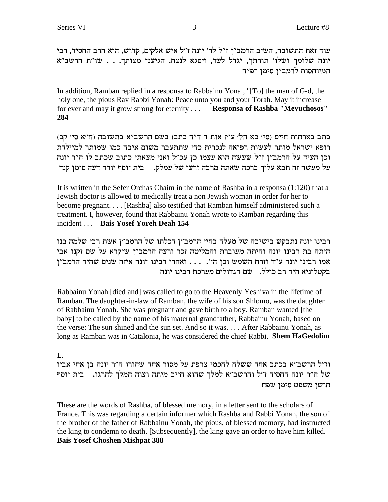עוד זאת התשובה, השיב הרמב"ן ז"ל לר' יונה ז"ל איש אלקים, קדוש, הוא הרב החסיד, רבי יונה שלומך ושלו' תורתך, יגדל לעד, ויסגא לנצח. הגיעני מצותך. . . שו"ת הרשב"א המיוחסות לרמב״ן סימן רפ״ד

In addition, Ramban replied in a responsa to Rabbainu Yona, "[To] the man of G-d, the holy one, the pious Rav Rabbi Yonah: Peace unto you and your Torah. May it increase for ever and may it grow strong for eternity ... Responsa of Rashba "Meyuchosos" 284

כתב בארחות חיים (סי׳ כא הל׳ ע״ז אות ד ד״ה כתב) בשם הרשב״א בתשובה (ח״א סי׳ קכ) רופא ישראל מותר לעשות רפואה לנכרית כדי שתתעבר משום איבה כמו שמותר למיילדת וכז העיד על הרמב״ז ז״ל שעשה הוא עצמו כז עכ״ל ואני מצאתי כתוב שכתב לו ה״ר יונה על מעשה זה תבא עליך ברכה שאתה מרבה זרעו של עמלק. \_ בית יוסף יורה דעה סימן קנד

It is written in the Sefer Orchas Chaim in the name of Rashba in a responsa (1:120) that a Jewish doctor is allowed to medically treat a non Jewish woman in order for her to become pregnant.... [Rashba] also testified that Ramban himself administered such a treatment. I, however, found that Rabbainu Yonah wrote to Ramban regarding this incident . . . Bais Yosef Yoreh Deah 154

רבינו יונה נתבקש בישיבה של מעלה בחיי הרמב"ן דכלתו של הרמב"ן אשת רבי שלמה בנו היתה בת רבינו יונה והיתה מעוברת והמליטה זכר ורצה הרמב"ן שיקרא על שם זקנו אבי אמו רבינו יונה ע"ד וזרח השמש וכן הי'. . . . ואחרי רבינו יונה איזה שנים שהיה הרמב"ן בקטלוניא היה רב כולל. שם הגדולים מערכת רבינו יונה

Rabbainu Yonah [died and] was called to go to the Heavenly Yeshiva in the lifetime of Ramban. The daughter-in-law of Ramban, the wife of his son Shlomo, was the daughter of Rabbainu Yonah. She was pregnant and gave birth to a boy. Ramban wanted [the baby] to be called by the name of his maternal grandfather, Rabbainu Yonah, based on the verse: The sun shined and the sun set. And so it was.... After Rabbainu Yonah, as long as Ramban was in Catalonia, he was considered the chief Rabbi. Shem HaGedolim

# Ε.

וז"ל הרשב"א בכתב אחד ששלח לחכמי צרפת על מסור אחד שהורו ה"ר יונה בן אחי אביו של ה״ר יונה החסיד ז״ל והרשב״א למלך שהוא חייב מיתה וצוה המלך להרגו. [בית יוסף חושן משפט סימן שפח

These are the words of Rashba, of blessed memory, in a letter sent to the scholars of France. This was regarding a certain informer which Rashba and Rabbi Yonah, the son of the brother of the father of Rabbainu Yonah, the pious, of blessed memory, had instructed the king to condemn to death. [Subsequently], the king gave an order to have him killed. **Bais Yosef Choshen Mishpat 388**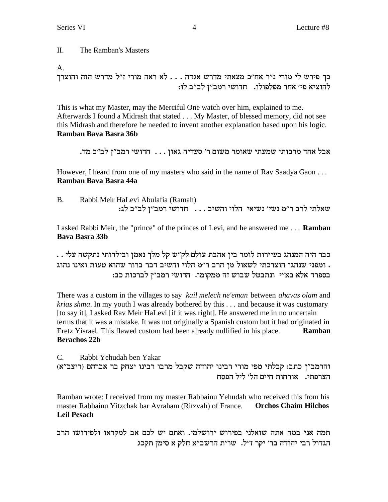II. The Ramban's Masters

A.

```
כך פירש לי מורי נ״ר אח״כ מצאתי מדרש אגדה . . . לא ראה מורי ז״ל מדרש הזה והוצרך
                      להוציא פי' אחר מפלפולו. חדושי רמב"ן לב"ב לו:
```
This is what my Master, may the Merciful One watch over him, explained to me. Afterwards I found a Midrash that stated . . . My Master, of blessed memory, did not see this Midrash and therefore he needed to invent another explanation based upon his logic. **Ramban Bava Basra 36b**

.<br>אבל אחד מרבותי שמעתי שאומר משום ר׳ סעדיה גאוז . . . חדושי רמב״ז לב״ב מד

However, I heard from one of my masters who said in the name of Rav Saadya Gaon . . . **Ramban Bava Basra 44a**

B. Rabbi Meir HaLevi Abulafia (Ramah) : שאלתי לרב ר"מ נשי' נשיאי הלוי והשיב . . . חדושי רמב"ן לב"ב לג

I asked Rabbi Meir, the "prince" of the princes of Levi, and he answered me . . . **Ramban Bava Basra 33b**

. . כבר היה המנהג בעיירות לומר בין אהבת עולם לק"ש קל מלך נאמן ובילדותי נתקשה עלי . ומפני שנהגו הוצרכתי לשאול מן הרב ר"מ הלוי והשיב דבר ברור שהוא טעות ואינו נהוג בספרד אלא בא״י ונתבטל שבוש זה ממקומו. חדושי רמב״ן לברכות כב:

There was a custom in the villages to say *kail melech ne'eman* between *ahavas olam* and *krias shma*. In my youth I was already bothered by this . . . and because it was customary [to say it], I asked Rav Meir HaLevi [if it was right]. He answered me in no uncertain terms that it was a mistake. It was not originally a Spanish custom but it had originated in Eretz Yisrael. This flawed custom had been already nullified in his place. **Ramban Berachos 22b**

C. Rabbi Yehudah ben Yakar

(הרמב"ז כתב: קבלתי מפי מורי רבינו יהודה שקבל מרבו רבינו יצחק בר אברהם וריצב"א הצרפתי.  $r$ אורחות חיים הל׳ ליל הפסח

Ramban wrote: I received from my master Rabbainu Yehudah who received this from his master Rabbainu Yitzchak bar Avraham (Ritzvah) of France. **Orchos Chaim Hilchos Leil Pesach**

תמה אני במה אתה שואלני בפירוש ירושלמי. ואתם יש לכם אב למקראו ולפירושו הרב הגדול רבי יהודה בר׳ יקר ז״ל. שו״ת הרשב״א חלק א סימן תקכג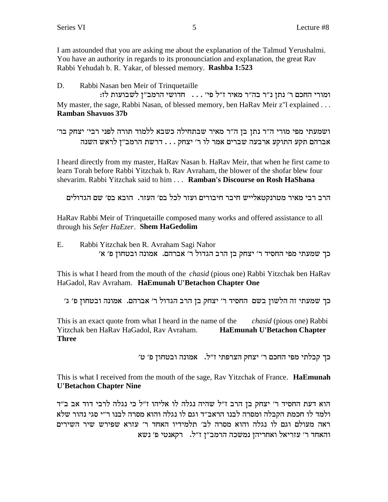I am astounded that you are asking me about the explanation of the Talmud Yerushalmi. You have an authority in regards to its pronounciation and explanation, the great Rav Rabbi Yehudah b. R. Yakar, of blessed memory. **Rashba 1:523**

D. Rabbi Nasan ben Meir of Trinquetaille

:tל החכם ר' נתן נ"ר בה"ר מאיר ז"ל פי' . . . חדושי הרמב"ז לשבועות לז My master, the sage, Rabbi Nasan, of blessed memory, ben HaRav Meir z"l explained . . . **Ramban Shavuos 37b**

'ושמעתי מפי מורי ה״ר נתן בן ה״ר מאיר שבתחילה כשבא ללמוד תורה לפני רבי׳ יצחק בר הברהם תקע התוקע ארבעה שברים אמר לו ר' יצחק . . . דרשת הרמב"ן לראש השנה

I heard directly from my master, HaRav Nasan b. HaRav Meir, that when he first came to learn Torah before Rabbi Yitzchak b. Rav Avraham, the blower of the shofar blew four shevarim. Rabbi Yitzchak said to him . . . **Ramban's Discourse on Rosh HaShana**

הרב רבי מאיר מטרנקטאלייש חיבר חיבורים ועזר לכל בס׳ העזר. הובא בס׳ שם הגדולים

HaRav Rabbi Meir of Trinquetaille composed many works and offered assistance to all through his *Sefer HaEzer*. **Shem HaGedolim**

E. Rabbi Yitzchak ben R. Avraham Sagi Nahor ' כך שמעתי מפי החסיד ר' יצחק בן הרב הגדול ר' אברהם. אמונה ובטחון פ' א

This is what I heard from the mouth of the *chasid* (pious one) Rabbi Yitzchak ben HaRav HaGadol, Rav Avraham. **HaEmunah U'Betachon Chapter One**

'כך שמעתי זה הלשון בשם החסיד ר' יצחק בן הרב הגדול ר' אברהם. אמונה ובטחון פ' ג

This is an exact quote from what I heard in the name of the *chasid* (pious one) Rabbi Yitzchak ben HaRav HaGadol, Rav Avraham. **HaEmunah U'Betachon Chapter Three**

'כך קבלתי מפי החכם ר' יצחק הצרפתי ז"ל. אמונה ובטחון פ' ט

This is what I received from the mouth of the sage, Rav Yitzchak of France. **HaEmunah U'Betachon Chapter Nine**

הוא דעת החסיד ר' יצחק בן הרב ז"ל שהיה נגלה לו אליהו ז"ל כי נגלה לרבי דוד אב ב"ד ולמד לו חכמת הקבלה ומסרה לבנו הראב"ד וגם לו נגלה והוא מסרה לבנו ר"י סגי נהור שלא ראה מעולם וגם לו נגלה והוא מסרה לב׳ תלמידיו האחד ר׳ עזרא שפירש שיר השירים והאחד ר' עזריאל ואחריהן נמשכה הרמב"ן ז"ל. רקאנטי פ' נשא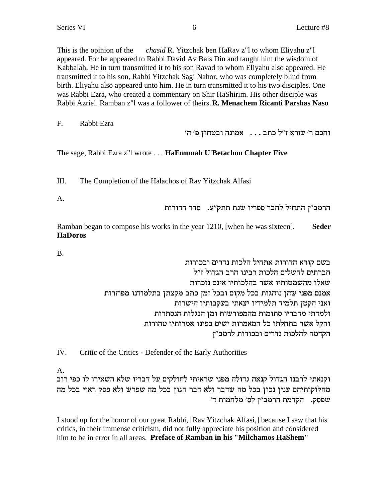This is the opinion of the *chasid* R. Yitzchak ben HaRav z"l to whom Eliyahu z"l appeared. For he appeared to Rabbi David Av Bais Din and taught him the wisdom of Kabbalah. He in turn transmitted it to his son Ravad to whom Eliyahu also appeared. He transmitted it to his son, Rabbi Yitzchak Sagi Nahor, who was completely blind from birth. Eliyahu also appeared unto him. He in turn transmitted it to his two disciples. One was Rabbi Ezra, who created a commentary on Shir HaShirim. His other disciple was Rabbi Azriel. Ramban z"l was a follower of theirs. **R. Menachem Ricanti Parshas Naso**

F. Rabbi Ezra

'וחכם ר' עזרא ז"ל כתב . . . אמונה ובטחון פ' ה

The sage, Rabbi Ezra z"l wrote . . . **HaEmunah U'Betachon Chapter Five**

III. The Completion of the Halachos of Rav Yitzchak Alfasi

A.

הרמב״ן התחיל לחבר ספריו שנת תתק״ע. סדר הדורות

Ramban began to compose his works in the year 1210, [when he was sixteen]. **Seder HaDoros**

B.

בשם קורא הדורות אתחיל הלכות נדרים ובכורות חברתים להשלים הלכות רבינו הרב הגדול ז״ל שאלו מהשמטותיו אשר בהלכותיו אינם נזכרות אמנם מפני שהן נוהגות בכל מקום ובכל זמן כתב מקצתן בתלמודנו מפוזרות ואני הקטן תלמיד תלמידיו יצאתי בעקבותיו הישרות ולמדתי מדבריו סתומות מהמפורשות ומן הנגלות הנסתרות והקל אשר בתחלתו כל המאמרות ישים בפינו אמרותיו טהורות הקדמה להלכות נדרים ובכורות לרמב״ן

IV. Critic of the Critics - Defender of the Early Authorities

A.

וקנאתי לרבנו הגדול קנאה גדולה מפני שראיתי לחולקים על דבריו שלא השאירו לו כפי רוב מחלוקותיהם ענין נכון בכל מה שדבר ולא דבר הגון בכל מה שפרש ולא פסק ראוי בכל מה 'ספסק. הקדמת הרמב״ז לס׳ מלחמות ד

I stood up for the honor of our great Rabbi, [Rav Yitzchak Alfasi,] because I saw that his critics, in their immense criticism, did not fully appreciate his position and considered him to be in error in all areas. **Preface of Ramban in his "Milchamos HaShem"**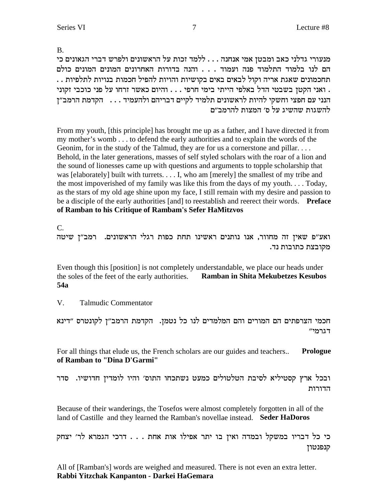**B.** 

מנעורי גדלני כאב ומבטן אמי אנחנה . . . ללמד זכות על הראשונים ולפרש דברי הגאונים כי הם לנו בלמוד התלמוד פנה ועמוד . . . והנה בדורות האחרונים המונים המונים כולם תחכמונים שאגת אריה וקול לבאים באים בקושיות והויות להפיל חכמות בנויות לתלפיות . . . ואני הקטן בשבטי הדל באלפי הייתי בימי חרפי . . . והיום כאשר זרחו על פני כוכבי זקוני הנני עם חפצי וחשקי להיות לראשונים תלמיד לקיים דבריהם ולהעמיד . . . . הקדמת הרמב"ן להשגות שהשיג על ס׳ המצות להרמב״ם

From my youth, [this principle] has brought me up as a father, and I have directed it from my mother's womb... to defend the early authorities and to explain the words of the Geonim, for in the study of the Talmud, they are for us a cornerstone and pillar.... Behold, in the later generations, masses of self styled scholars with the roar of a lion and the sound of lionesses came up with questions and arguments to topple scholarship that was [elaborately] built with turrets.... I, who am [merely] the smallest of my tribe and the most impoverished of my family was like this from the days of my youth.... Today, as the stars of my old age shine upon my face, I still remain with my desire and passion to be a disciple of the early authorities [and] to reestablish and reerect their words. Preface of Ramban to his Critique of Rambam's Sefer HaMitzvos

 $\mathcal{C}$ .

ואע״פ שאין זה מחוור, אנו נותנים ראשינו תחת כפות רגלי הראשונים. רמב״ן שיטה מקובצת כתובות נד.

Even though this [position] is not completely understandable, we place our heads under the soles of the feet of the early authorities. **Ramban in Shita Mekubetzes Kesubos** 54a

V. **Talmudic Commentator** 

חכמי הצרפתים הם המורים והם המלמדים לנו כל נטמן. הקדמת הרמב"ן לקונטרס "דינא דגרמי"

For all things that elude us, the French scholars are our guides and teachers.. **Prologue** of Ramban to "Dina D'Garmi"

ובכל ארץ קסטיליא לסיבת הטלטולים כמעט נשתכחו התוס׳ והיו לומדין חדושיו. סדר הדורות

Because of their wanderings, the Tosefos were almost completely forgotten in all of the land of Castille and they learned the Ramban's novellae instead. Seder HaDoros

כי כל דבריו במשקל ובמדה ואין בו יתר אפילו אות אחת . . . דרכי הגמרא לר׳ יצחק קנפנטון

All of [Ramban's] words are weighed and measured. There is not even an extra letter. Rabbi Yitzchak Kanpanton - Darkei HaGemara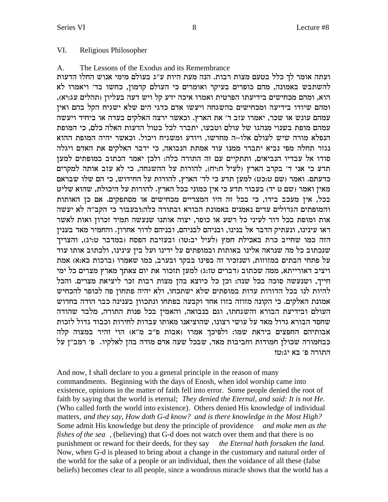#### VI. Religious Philosopher

### The Lessons of the Exodus and its Remembrance  $\mathbf{A}$

ועתה אומר לך כלל בטעם מצות רבות. הנה מעת היות ע"ג בעולם מימי אנוש החלו הדעות להשתבש באמונה, מהם כופרים בעיקר ואומרים כי העולם קדמון, כחשו בד׳ ויאמרו לא הוא, ומהם מכחישים בידיעתו הפרטית ואמרו איכה ידע קל ויש דעה בעליון (תהלים עג:יא), ומהם שיודו בידיעה ומכחישים בהשגחה ויעשו אדם כדגי הים שלא ישגיח הקל בהם ואין עמהם עונש או שכר, יאמרו עזב ד' את הארץ. וכאשר ירצה האלקים בעדה או ביחיד ויעשה עמהם מופת בשנוי מנהגו של עולם וטבעו, יתברר לכל בטול הדעות האלה כלם, כי המופת הנפלא מורה שיש לעולם אלו–ה מחדשו, ויודע ומשגיח ויכול. וכאשר יהיה המופת ההוא נגזר תחלה מפי נביא יתברר ממנו עוד אמתת הנבואה, כי ידבר האלקים את האדם ויגלה סודו אל עבדיו הנביאים, ותתקיים עם זה התורה כלה: ולכן יאמר הכתוב במופתים למען תדע כי אני ד' בקרב הארץ (לעיל ח:יח), להורות על ההשגחה, כי לא עזב אותה למקרים כדעתם. ואמר (שם ט:כט) למען תדע כי לד' הארץ, להורות על החידוש, כי הם שלו שבראם מאין ואמר (שם ט יד) בעבור תדע כי אין כמוני בכל הארץ. להורות על היכולת, שהוא שליט בכל, אין מעכב בידו, כי בכל זה היו המצריים מכחישים או מסתפקים. אם כן האותות והמופתים הגדולים עדים נאמנים באמונת הבורא ובתורה כלה:ובעבור כי הקב"ה לא יעשה אות ומופת בכל דור לעיני כל רשע או כופר, יצוה אותנו שנעשה תמיד זכרון ואות לאשר ראו עינינו, ונעתיק הדבר אל בנינו, ובניהם לבניהם, ובניהם לדור אחרון. והחמיר מאד בענין הזה כמו שחייב כרת באכילת חמץ (לעיל יב:טו) ובעזיבת הפסח (במדבר ט:יג), והצריך שנכתוב כל מה שנראה אלינו באותות ובמופתים על ידינו ועל בין עינינו, ולכתוב אותו עוד על פתחי הבתים במזוזות, ושנזכיר זה בפינו בבקר ובערב, כמו שאמרו (ברכות כא:א) אמת ויציב דאורייתא, ממה שכתוב (דברים טז:ג) למען תזכור את יום צאתך מארץ מצרים כל ימי חייך, ושנעשה סוכה בכל שנה: וכן כל כיוצא בהן מצות רבות זכר ליציאת מצרים. והכל להיות לנו בכל הדורות עדות במופתים שלא ישתכחו, ולא יהיה פתחון פה לכופר להכחיש אמונת האלקים. כי הקונה מזוזה בזוז אחד וקבעה בפתחו ונתכוון בענינה כבר הודה בחדוש העולם ובידיעת הבורא והשגחתו, וגם בנבואה, והאמין בכל פנות התורה, מלבד שהודה שחסד הבורא גדול מאד על עושי רצונו, שהוציאנו מאותו עבדות לחירות וכבוד גדול לזכות אבותיהם החפצים ביראת שמו: ולפיכך אמרו (אבות פ"ב מ"א) הוי זהיר במצוה קלה כבחמורה שכולן חמודות וחביבות מאד, שבכל שעה אדם מודה בהן לאלקיו. פ׳ רמב״ן על התורה פ׳ בא יג:טז

And now, I shall declare to you a general principle in the reason of many commandments. Beginning with the days of Enosh, when idol worship came into existence, opinions in the matter of faith fell into error. Some people denied the root of faith by saying that the world is eternal; They denied the Eternal, and said: It is not He. (Who called forth the world into existence). Others denied His knowledge of individual matters, and they say, How doth G-d know? and is there knowledge in the Most High? Some admit His knowledge but deny the principle of providence and make men as the *fishes of the sea*, (believing) that G-d does not watch over them and that there is no punishment or reward for their deeds, for they say the Eternal hath forsaken the land. Now, when G-d is pleased to bring about a change in the customary and natural order of the world for the sake of a people or an individual, then the voidance of all these (false beliefs) becomes clear to all people, since a wondrous miracle shows that the world has a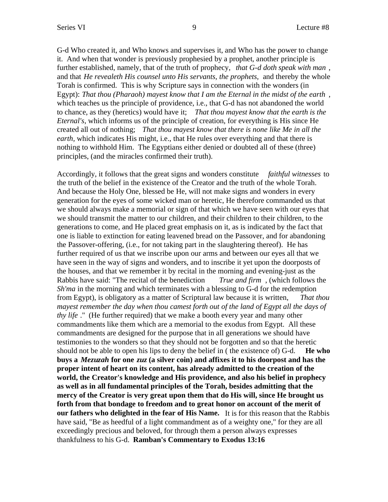G-d Who created it, and Who knows and supervises it, and Who has the power to change it. And when that wonder is previously prophesied by a prophet, another principle is further established, namely, that of the truth of prophecy, *that G-d doth speak with man* , and that *He revealeth His counsel unto His servants, the prophets,* and thereby the whole Torah is confirmed. This is why Scripture says in connection with the wonders (in Egypt): *That thou (Pharaoh) mayest know that I am the Eternal in the midst of the earth* , which teaches us the principle of providence, i.e., that G-d has not abandoned the world to chance, as they (heretics) would have it; *That thou mayest know that the earth is the Eternal's*, which informs us of the principle of creation, for everything is His since He created all out of nothing; *That thou mayest know that there is none like Me in all the earth,* which indicates His might, i.e., that He rules over everything and that there is nothing to withhold Him. The Egyptians either denied or doubted all of these (three) principles, (and the miracles confirmed their truth).

Accordingly, it follows that the great signs and wonders constitute *faithful witnesses* to the truth of the belief in the existence of the Creator and the truth of the whole Torah. And because the Holy One, blessed be He, will not make signs and wonders in every generation for the eyes of some wicked man or heretic, He therefore commanded us that we should always make a memorial or sign of that which we have seen with our eyes that we should transmit the matter to our children, and their children to their children, to the generations to come, and He placed great emphasis on it, as is indicated by the fact that one is liable to extinction for eating leavened bread on the Passover, and for abandoning the Passover-offering, (i.e., for not taking part in the slaughtering thereof). He has further required of us that we inscribe upon our arms and between our eyes all that we have seen in the way of signs and wonders, and to inscribe it yet upon the doorposts of the houses, and that we remember it by recital in the morning and evening-just as the Rabbis have said: "The recital of the benediction *True and firm* , (which follows the *Sh'ma* in the morning and which terminates with a blessing to G-d for the redemption from Egypt), is obligatory as a matter of Scriptural law because it is written, *That thou mayest remember the day when thou camest forth out of the land of Egypt all the days of thy life* ." (He further required) that we make a booth every year and many other commandments like them which are a memorial to the exodus from Egypt. All these commandments are designed for the purpose that in all generations we should have testimonies to the wonders so that they should not be forgotten and so that the heretic should not be able to open his lips to deny the belief in ( the existence of) G-d. **He who buys a** *Mezuzah* **for one** *zuz* **(a silver coin) and affixes it to his doorpost and has the proper intent of heart on its content, has already admitted to the creation of the world, the Creator's knowledge and His providence, and also his belief in prophecy as well as in all fundamental principles of the Torah, besides admitting that the mercy of the Creator is very great upon them that do His will, since He brought us forth from that bondage to freedom and to great honor on account of the merit of our fathers who delighted in the fear of His Name.** It is for this reason that the Rabbis have said, "Be as heedful of a light commandment as of a weighty one," for they are all exceedingly precious and beloved, for through them a person always expresses thankfulness to his G-d. **Ramban's Commentary to Exodus 13:16**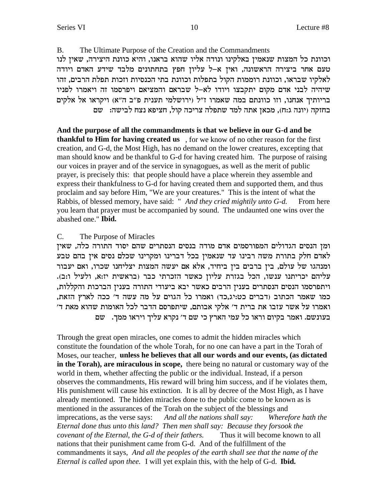B. The Ultimate Purpose of the Creation and the Commandments וכוונת כל המצות שנאמין באלקינו ונודה אליו שהוא בראנו, והיא כוונת היצירה, שאין לנו טעם אחר ביצירה הראשונה, ואין א–ל עליון חפץ בתחתונים מלבד שידע האדם ויודה לאלקיו שבראו, וכוונת רוממות הקול בתפלות וכוונת בתי הכנסיות וזכות תפלת הרבים, זהו שיהיה לבני אדם מקום יתקבצו ויודו לא-ל שבראם והמציאם ויפרסמו זה ויאמרו לפניו בריותיך אנחנו, וזו כוונתם במה שאמרו ז"ל (ירושלמי תענית פ"ב ה"א) ויקראו אל אלקים בחזקה (יונה ג:ח), מכאן אתה למד שתפלה צריכה קול, חציפא נצח לבישה: \_ שם

**And the purpose of all the commandments is that we believe in our G-d and be thankful to Him for having created us** , for we know of no other reason for the first creation, and G-d, the Most High, has no demand on the lower creatures, excepting that man should know and be thankful to G-d for having created him. The purpose of raising our voices in prayer and of the service in synagogues, as well as the merit of public prayer, is precisely this: that people should have a place wherein they assemble and express their thankfulness to G-d for having created them and supported them, and thus proclaim and say before Him, "We are your creatures." This is the intent of what the Rabbis, of blessed memory, have said: " *And they cried mightily unto G-d.* From here you learn that prayer must be accompanied by sound. The undaunted one wins over the abashed one." **Ibid.**

# C. The Purpose of Miracles

ומן הנסים הגדולים המפורסמים אדם מודה בנסים הנסתרים שהם יסוד התורה כלה, שאין לאדם חלק בתורת משה רבינו עד שנאמין בכל דברינו ומקרינו שכלם נסים אין בהם טבע ומנהגו של עולם, בין ברבים בין ביחיד, אלא אם יעשה המצות יצליחנו שכרו, ואם יעבור . עליהם יכריתנו ענשו, הכל בגזרת עליון כאשר הזכרתי כבר (בראשית יז:א, ולעיל ו:ב) , ויתפרסמו הנסים הנסתרים בענין הרבים כאשר יבא ביעודי התורה בענין הברכות והקללות , כמו שאמר הכתוב (דברים כט:יג,כד) ואמרו כל הגוים על מה עשה ד' ככה לארץ הזאת ואמרו על אשר עזבו את ברית ד' אלקי אבותם, שיתפרסם הדבר לכל האומות שהוא מאת ד' ה בעונשם. ואמר בקיום וראו כל עמי הארץ כי שם ד׳ נקרא עליך ויראו ממך. נשם

Through the great open miracles, one comes to admit the hidden miracles which constitute the foundation of the whole Torah, for no one can have a part in the Torah of Moses, our teacher, **unless he believes that all our words and our events, (as dictated in the Torah), are miraculous in scope,** there being no natural or customary way of the world in them, whether affecting the public or the individual. Instead, if a person observes the commandments, His reward will bring him success, and if he violates them, His punishment will cause his extinction. It is all by decree of the Most High, as I have already mentioned. The hidden miracles done to the public come to be known as is mentioned in the assurances of the Torah on the subject of the blessings and imprecations, as the verse says: *And all the nations shall say: Wherefore hath the Eternal done thus unto this land? Then men shall say: Because they forsook the covenant of the Eternal, the G-d of their fathers.* Thus it will become known to all nations that their punishment came from G-d. And of the fulfillment of the commandments it says, *And all the peoples of the earth shall see that the name of the Eternal is called upon thee.* I will yet explain this, with the help of G-d. **Ibid.**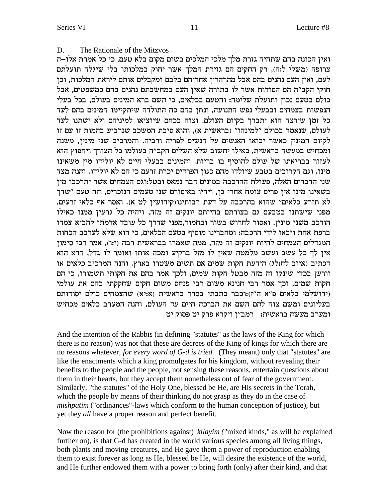D. The Rationale of the Mitzvos

ואין הכונה בהם שתהיה גזרת מלך מלכי המלכים בשום מקום בלא טעם, כי כל אמרת אלו–ה צרופה (משלי ל:ה), רק החקים הם גזירת המלך אשר יחוק במלכותו בלי שיגלה תועלתם לעם, ואין העם נהנים בהם אבל מהרהרין אחריהם בלבם ומקבלים אותם ליראת המלכות, וכן חוקי הקב"ה הם הסודות אשר לו בתורה שאין העם במחשבתם נהנים בהם כמשפטים, אבל כולם בטעם נכון ותועלת שלימה: והטעם בכלאים, כי השם ברא המינים בעולם, בכל בעלי הנפשות בצמחים ובבעלי נפש התנועה, ונתן בהם כח התולדה שיתקיימו המינים בהם לעד כל זמן שירצה הוא יתברך בקיום העולם. וצוה בכחם שיוציאו למיניהם ולא ישתנו לעד לעולם, שנאמר בכולם "למינהו" (בראשית א), והוא סיבת המשכב שנרביע בהמות זו עם זו לקיום המינין כאשר יבואו האנשים על הנשים לפריה ורביה. והמרכיב שני מינין, משנה ומכחיש במעשה בראשית, כאילו יחשוב שלא השלים הקב"ה בעולמו כל הצורך ויחפוץ הוא לעזור בבריאתו של עולם להוסיף בו בריות. והמינים בבעלי חיים לא יולידו מין משאינו מינו, וגם הקרובים בטבע שיולדו מהם כגון הפרדים יכרת זרעם כי הם לא יולידו. והנה מצד טני הדברים האלה, פעולת ההרכבה במינים דבר נמאס ובטל:וגם הצמחים אשר יתרכבו מיז **a** בשאינו מינו אין פרים צומח אחרי כן, ויהיו באיסורם שני טעמים הנזכרים, וזה טעם "שדך , לא תזרע כלאים" שהוא בהרכבה על דעת רבותינו(קידושין לט א). ואסר אף כלאי זרעים מפני שישתנו בטבעם גם בצורתם בהיותם יונקים זה מזה, ויהיה כל גרעין ממנו כאילו הורכב משני מינין. ואסור לחרוש בשור ובחמור,מפני שדרך כל עובד אדמתו להביא צמדו ברפת אחת ויבאו לידי הרכבה: ומחברינו מוסיף בטעם הכלאים, כי הוא שלא לערבב הכחות המגדלים הצמחים להיות יונקים זה מזה, ממה שאמרו בבראשית רבה (י:ו), אמר רבי סימון אין לך כל עשב ועשב מלמטה שאין לו מזל ברקיע ומכה אותו ואומר לו גדל, הדא הוא דכתיב (איוב לחזלג) הידעת חקות שמים אם תשים משטרו בארץ. והנה המרכיב כלאים או זורען בכדי שינקו זה מזה מבטל חקות שמים, ולכך אמר בהם את חקותי תשמורו, כי הם חקות שמים, וכך אמר רבי חנינא משום רבי פנחס משום חקים שחקקתי בהם את עולמי ירושלמי כלאים פ"א ה"ז):וכבר כתבתי בסדר בראשית (א:יא) שהצמחים כולם יסודותם) בעליונים ומשם צוה להם השם את הברכה חיים עד העולם, והנה המערב כלאים מכחיש ומערב מעשה בראשית: רמב"ן ויקרא פרק יט פסוק יט

And the intention of the Rabbis (in defining "statutes" as the laws of the King for which there is no reason) was not that these are decrees of the King of kings for which there are no reasons whatever, *for every word of G-d is tried.* (They meant) only that "statutes" are like the enactments which a king promulgates for his kingdom, without revealing their benefits to the people and the people, not sensing these reasons, entertain questions about them in their hearts, but they accept them nonetheless out of fear of the government. Similarly, "the statutes" of the Holy One, blessed be He, are His secrets in the Torah, which the people by means of their thinking do not grasp as they do in the case of *mishpatim* ("ordinances"-laws which conform to the human conception of justice), but yet they *all* have a proper reason and perfect benefit.

Now the reason for (the prohibitions against) *kilayim (*"mixed kinds," as will be explained further on), is that G-d has created in the world various species among all living things, both plants and moving creatures, and He gave them a power of reproduction enabling them to exist forever as long as He, blessed be He, will desire the existence of the world, and He further endowed them with a power to bring forth (only) after their kind, and that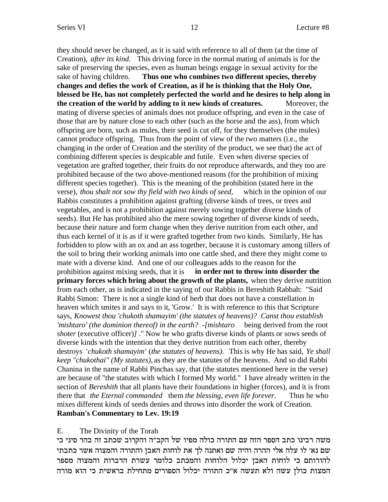they should never be changed, as it is said with reference to all of them (at the time of Creation), *after its kind.* This driving force in the normal mating of animals is for the sake of preserving the species, even as human beings engage in sexual activity for the sake of having children. **Thus one who combines two different species, thereby changes and defies the work of Creation, as if he is thinking that the Holy One, blessed be He, has not completely perfected the world and he desires to help along in the creation of the world by adding to it new kinds of creatures.** Moreover, the mating of diverse species of animals does not produce offspring, and even in the case of those that are by nature close to each other (such as the horse and the ass), from which offspring are born, such as mules, their seed is cut off, for they themselves (the mules) cannot produce offspring. Thus from the point of view of the two matters (i.e., the changing in the order of Creation and the sterility of the product, we see that) the act of combining different species is despicable and futile. Even when diverse species of vegetation are grafted together, their fruits do not reproduce afterwards, and they too are prohibited because of the two above-mentioned reasons (for the prohibition of mixing different species together). This is the meaning of the prohibition (stated here in the verse), *thou shalt not sow thy field with two kinds of seed,* which in the opinion of our Rabbis constitutes a prohibition against grafting (diverse kinds of trees, or trees and vegetables, and is not a prohibition against merely sowing together diverse kinds of seeds). But He has prohibited also the mere sowing together of diverse kinds of seeds, because their nature and form change when they derive nutrition from each other, and thus each kernel of it is as if it were grafted together from two kinds. Similarly, He has forbidden to plow with an ox and an ass together, because it is customary among tillers of the soil to bring their working animals into one cattle shed, and there they might come to mate with a diverse kind. And one of our colleagues adds to the reason for the prohibition against mixing seeds, that it is **in order not to throw into disorder the primary forces which bring about the growth of the plants,** when they derive nutrition from each other, as is indicated in the saying of our Rabbis in Bereshith Rabbah: "Said Rabbi Simon: There is not a single kind of herb that does not have a constellation in heaven which smites it and says to it, 'Grow.' It is with reference to this that Scripture says, *Knowest thou 'chukoth shamayim' (the statutes of heavens)? Canst thou establish 'mishtaro' (the dominion thereof) in the earth? -[mishtaro* being derived from the root *shoter* (executive officer)*]* ." Now he who grafts diverse kinds of plants or sows seeds of diverse kinds with the intention that they derive nutrition from each other, thereby destroys '*chukoth shamayim'* (*the statutes of heavens).* This is why He has said, *Ye shall keep "chukothai" (My statutes),* as they are the statutes of the heavens. And so did Rabbi Chanina in the name of Rabbi Pinchas say, that (the statutes mentioned here in the verse) are because of "the statutes with which I formed My world." I have already written in the section of *Bereshith* that all plants have their foundations in higher (forces), and it is from there that *the Eternal commanded* them *the blessing, even life forever.* Thus he who mixes different kinds of seeds denies and throws into disorder the work of Creation. **Ramban's Commentary to Lev. 19:19**

### E. The Divinity of the Torah

משה רבינו כתב הספר הזה עם התורה כולה מפיו של הקב״ה והקרוב שכתב זה בהר סיני כי שם נא׳ לו עלה אלי ההרה והיה שם ואתנה לך את לוחות האבן והתורה והמצוה אשר כתבתי להורותם כי לוחות האבן יכלול הלוחות והמכתב כלומר עשרת הדברות והמצוה מספר המצות כולן עשה ולא תעשה א"כ התורה יכלול הספורים מתחילת בראשית כי הוא מורה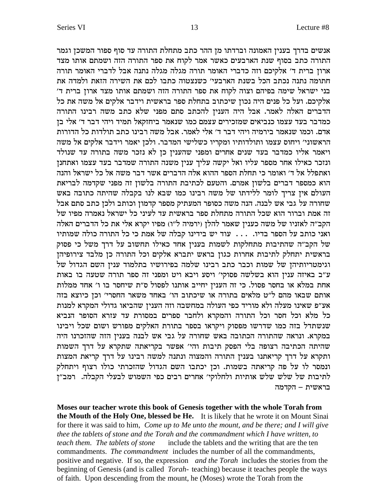אנשים בדרך בענין האמונה וברדתו מן ההר כתב מתחלת התורה עד סוף ספור המשכן וגמר התורה כתב בסוף שנת הארבעים כאשר אמר לקוח את ספר התורה הזה ושמתם אותו מצד ארון ברית ד' אלקיכם וזה כדברי האומר תורה מגלה מגלה נתנה אבל לדברי האומר תורה חתומה נתנה נכתב הכל בשנת הארבעי׳ כשנצטוה כתבו לכם את השירה הזאת ולמדה את בני ישראל שימה בפיהם וצוה לקוח את ספר התורה הזה ושמתם אותו מצד ארון ברית ד' אלקיכם. ועל כל פנים היה נכון שיכתוב בתחלת ספר בראשית וידבר אלקים אל משה את כל הדברים האלה לאמר. אבל היה הענין להכתב סתם מפני שלא כתב משה רבינו התורה כמדבר בעד עצמו כנביאים שמזכירים עצמם כמו שנאמר ביחזקאל תמיד ויהי דבר ד' אלי בן אדם. וכמו שנאמר בירמיה ויהי דבר ד׳ אלי לאמר. אבל משה רבינו כתב תולדות כל הדורות הראשוני' ויחוס עצמו ותולדותיו ומקריו כשלישי המדבר. ולכן יאמר וידבר אלקים אל משה ויאמר אליו כמדבר בעד שנים אחרים ומפני שהענין כן לא נזכר משה בתורה עד שנולד ונזכר כאילו אחר מספר עליו ואל יקשה עליך ענין משנה התורה שמדבר בעד עצמו ואתחנן ואתפלל אל ד' ואומר כי תחלת הספר ההוא אלה הדברים אשר דבר משה אל כל ישראל והנה הוא כמספר דברים בלשון אמרם. והטעם לכתיבת התורה בלשון זה מפני שקדמה לבריאת העולם אין צריך לומר ללידתו של משה רבינו כמו שבא לנו בקבלה שהיתה כתובה באש שחורה על גבי אש לבנה. הנה משה כסופר המעתיק מספר קדמון וכותב ולכן כתב סתם אבל זה אמת וברור הוא שכל התורה מתחלת ספר בראשית עד לעיני כל ישראל נאמרה מפיו של הקב״ה לאזניו של משה כענין שאמר להלן (ירמיה ל״ו) מפיו יקרא אלי את כל הדברים האלה ואני כותב על הספר בדיו. ... עוד יש בידינו קבלה של אמת כי כל התורה כולה שמותיו של הקב"ה שהתיבות מתחלקות לשמות בענין אחד כאילו תחשוב על דרך משל כי פסוק בראשית יתחלק לתיבות אחרות כגון בראש יתברא אלקים וכל התורה כן מלבד צירופיהן וגימטריותיהן של שמות וכבר כתב רבינו שלמה בפירושיו בתלמוד ענין השם הגדול של ע"ב באיזה ענין הוא בשלשה פסוקי' ויסע ויבא ויט ומפני זה ספר תורה שטעה בו באות אחת במלא או בחסר פסול. כי זה הענין יחייב אותנו לפסול ס"ת שיחסר בו ו' אחד ממלות אותם שבאו מהם ל"ט מלאים בתורה או שיכתוב הו' באחד משאר החסרי' וכן כיוצא בזה אע״פ שאינו מעלה ולא מוריד כפי העולה במחשבה וזה הענין שהביאו גדולי המקרא למנות כל מלא וכל חסר וכל התורה והמקרא ולחבר ספרים במסורת עד עזרא הסופר הנביא שנשתדל בזה כמו שדרשו מפסוק ויקראו בספר בתורת האלקים מפורש ושום שכל ויבינו במקרא. ונראה שהתורה הכתובה באש שחורה על גבי אש לבנה בענין הזה שהזכרנו היה שהיתה הכתיבה רצופה בלי הפסק תיבות והי' אפשר בקריאתה שתקרא על דרך השמות ותקרא על דרך קריאתנו בענין התורה והמצוה ונתנה למשה רבינו על דרך קריאת המצות ונמסר לו על פה קריאתה בשמות. וכן יכתבו השם הגדול שהזכרתי כולו רצוף ויתחלק לתיבות של שלש שלש אותיות ולחלוקי' אחרים רבים כפי השמוש לבעלי הקבלה. רמב"ז בראשית – הקדמה

Moses our teacher wrote this book of Genesis together with the whole Torah from the Mouth of the Holy One, blessed be He. It is likely that he wrote it on Mount Sinai for there it was said to him, Come up to Me unto the mount, and be there; and I will give thee the tablets of stone and the Torah and the commandment which I have written, to *teach them. The tablets of stone* include the tablets and the writing that are the ten commandments. The commandment includes the number of all the commandments, positive and negative. If so, the expression and the Torah includes the stories from the beginning of Genesis (and is called *Torah*-teaching) because it teaches people the ways of faith. Upon descending from the mount, he (Moses) wrote the Torah from the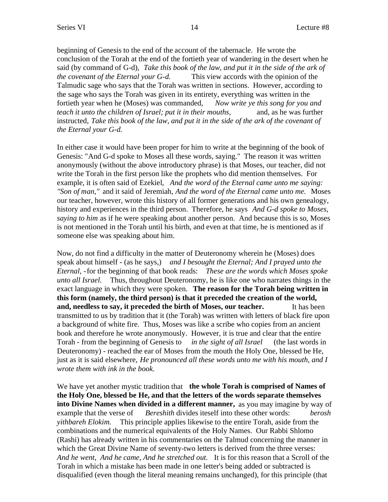beginning of Genesis to the end of the account of the tabernacle. He wrote the conclusion of the Torah at the end of the fortieth year of wandering in the desert when he said (by command of G-d), *Take this book of the law, and put it in the side of the ark of the covenant of the Eternal your G-d.* This view accords with the opinion of the Talmudic sage who says that the Torah was written in sections. However, according to the sage who says the Torah was given in its entirety, everything was written in the fortieth year when he (Moses) was commanded, *Now write ye this song for you and teach it unto the children of Israel; put it in their mouths,* and, as he was further instructed, *Take this book of the law, and put it in the side of the ark of the covenant of the Eternal your G-d.*

In either case it would have been proper for him to write at the beginning of the book of Genesis: "And G-d spoke to Moses all these words, saying." The reason it was written anonymously (without the above introductory phrase) is that Moses, our teacher, did not write the Torah in the first person like the prophets who did mention themselves. For example, it is often said of Ezekiel, *And the word of the Eternal came unto me saying: "Son of man,"* and it said of Jeremiah, *And the word of the Eternal came unto me.* Moses our teacher, however, wrote this history of all former generations and his own genealogy, history and experiences in the third person. Therefore, he says *And G-d spoke to Moses, saying to him* as if he were speaking about another person. And because this is so, Moses is not mentioned in the Torah until his birth, and even at that time, he is mentioned as if someone else was speaking about him.

Now, do not find a difficulty in the matter of Deuteronomy wherein he (Moses) does speak about himself - (as he says,) *and I besought the Eternal; And I prayed unto the Eternal, -*for the beginning of that book reads: *These are the words which Moses spoke unto all Israel.* Thus, throughout Deuteronomy, he is like one who narrates things in the exact language in which they were spoken. **The reason for the Torah being written in this form (namely, the third person) is that it preceded the creation of the world, and, needless to say, it preceded the birth of Moses, our teacher.** It has been transmitted to us by tradition that it (the Torah) was written with letters of black fire upon a background of white fire. Thus, Moses was like a scribe who copies from an ancient book and therefore he wrote anonymously. However, it is true and clear that the entire Torah - from the beginning of Genesis to *in the sight of all Israel* (the last words in Deuteronomy) - reached the ear of Moses from the mouth the Holy One, blessed be He, just as it is said elsewhere, *He pronounced all these words unto me with his mouth, and I wrote them with ink in the book.*

We have yet another mystic tradition that **the whole Torah is comprised of Names of the Holy One, blessed be He, and that the letters of the words separate themselves into Divine Names when divided in a different manner,** as you may imagine by way of example that the verse of *Bereshith* divides iteself into these other words: *berosh yithbareh Elokim.* This principle applies likewise to the entire Torah, aside from the combinations and the numerical equivalents of the Holy Names. Our Rabbi Shlomo (Rashi) has already written in his commentaries on the Talmud concerning the manner in which the Great Divine Name of seventy-two letters is derived from the three verses: *And he went, And he came, And he stretched out.* It is for this reason that a Scroll of the Torah in which a mistake has been made in one letter's being added or subtracted is disqualified (even though the literal meaning remains unchanged), for this principle (that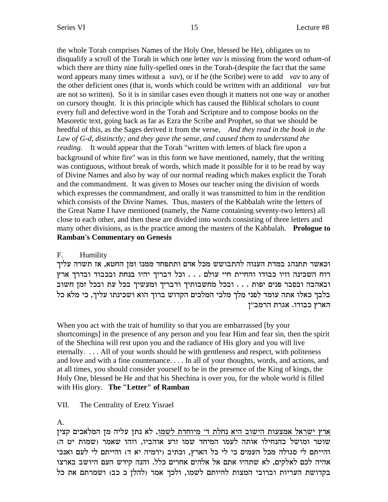the whole Torah comprises Names of the Holy One, blessed be He), obligates us to disqualify a scroll of the Torah in which one letter vav is missing from the word *otham*-of which there are thirty nine fully-spelled ones in the Torah-(despite the fact that the same word appears many times without a *vav*), or if he (the Scribe) were to add *vav* to any of the other deficient ones (that is, words which could be written with an additional vav but are not so written). So it is in similar cases even though it matters not one way or another on cursory thought. It is this principle which has caused the Biblical scholars to count every full and defective word in the Torah and Scripture and to compose books on the Masoretic text, going back as far as Ezra the Scribe and Prophet, so that we should be heedful of this, as the Sages derived it from the verse, And they read in the book in the Law of G-d, distinctly; and they gave the sense, and caused them to understand the *reading.* It would appear that the Torah "written with letters of black fire upon a background of white fire" was in this form we have mentioned, namely, that the writing was contiguous, without break of words, which made it possible for it to be read by way of Divine Names and also by way of our normal reading which makes explicit the Torah and the commandment. It was given to Moses our teacher using the division of words which expresses the commandment, and orally it was transmitted to him in the rendition which consists of the Divine Names. Thus, masters of the Kabbalah write the letters of the Great Name I have mentioned (namely, the Name containing seventy-two letters) all close to each other, and then these are divided into words consisting of three letters and many other divisions, as is the practice among the masters of the Kabbalah. **Prologue to Ramban's Commentary on Genesis** 

### Humility F.

וכאשר תתנהג במדת הענוה להתבושש מכל אדם ותתפחד ממנו ומן החטא, אז תשרה עליך רוח השכינה וזיו כבודו והחיית חיי עולם . . . וכל דבריך יהיו בנחת ובכבוד ובדרך ארץ ובאהבה ובסבר פנים יפות . . . ובכל מחשבותיך ודבריך ומעשיך בכל עת ובכל זמן חשוב בלבך כאלו אתה עומד לפני מלך מלכי המלכים הקדוש ברוך הוא ושכינתו עליך, כי מלא כל הארץ כבודו. אגרת הרמב״ן

When you act with the trait of humility so that you are embarrassed [by your shortcomings] in the presence of any person and you fear Him and fear sin, then the spirit of the Shechina will rest upon you and the radiance of His glory and you will live eternally. ... All of your words should be with gentleness and respect, with politeness and love and with a fine countenance.... In all of your thoughts, words, and actions, and at all times, you should consider yourself to be in the presence of the King of kings, the Holy One, blessed be He and that his Shechina is over you, for the whole world is filled with His glory. The "Letter" of Ramban

### VII. The Centrality of Eretz Yisrael

A.

ארץ ישראל אמצעות הישוב היא נחלת ד' מיוחדת לשמו, לא נתן עליה מן המלאכים קצין שוטר ומושל בהנחילו אותה לעמו המיחד שמו זרע אוהביו, וזהו שאמר (שמות יט ה) והייתם לי סגולה מכל העמים כי לי כל הארץ, וכתיב (ירמיה יא ד) והייתם לי לעם ואנכי אהיה לכם לאלקים, לא שתהיו אתם אל אלהים אחרים כלל. והנה קידש העם היושב בארצו בקדושת העריות וברובי המצות להיותם לשמו, ולכך אמר (להלן כ כב) ושמרתם את כל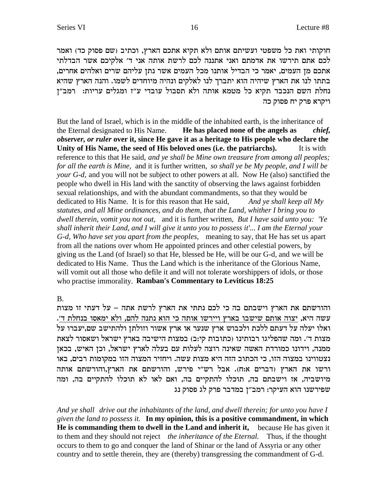חוקותי ואת כל משפטי ועשיתם אותם ולא תקיא אתכם הארץ, וכתיב (שם פסוק כד) ואמר לכם אתם תירשו את אדמתם ואני אתננה לכם לרשת אותה אני ד׳ אלקיכם אשר הבדלתי אתכם מן העמים, יאמר כי הבדיל אותנו מכל העמים אשר נתן עליהם שרים ואלהים אחרים, בתתו לנו את הארץ שיהיה הוא יתברך לנו לאלקים ונהיה מיוחדים לשמו. והנה הארץ שהיא נחלת השם הנכבד תקיא כל מטמא אותה ולא תסבול עובדי ע"ז ומגלים עריות: רמב"ן ויקרא פרק יח פסוק כה

But the land of Israel, which is in the middle of the inhabited earth, is the inheritance of the Eternal designated to His Name. He has placed none of the angels as chief. observer, or ruler over it, since He gave it as a heritage to His people who declare the Unity of His Name, the seed of His beloved ones (i.e. the patriarchs). It is with reference to this that He said, and ye shall be Mine own treasure from among all peoples; for all the earth is Mine, and it is further written, so shall ye be My people, and I will be your G-d, and you will not be subject to other powers at all. Now He (also) sanctified the people who dwell in His land with the sanctity of observing the laws against forbidden sexual relationships, and with the abundant commandments, so that they would be dedicated to His Name. It is for this reason that He said, And ye shall keep all My statutes, and all Mine ordinances, and do them, that the Land, whither I bring you to dwell therein, vomit you not out, and it is further written, But I have said unto you: 'Ye shall inherit their Land, and I will give it unto you to possess it'... I am the Eternal your G-d, Who have set you apart from the peoples, meaning to say, that He has set us apart from all the nations over whom He appointed princes and other celestial powers, by giving us the Land (of Israel) so that He, blessed be He, will be our G-d, and we will be dedicated to His Name. Thus the Land which is the inheritance of the Glorious Name, will vomit out all those who defile it and will not tolerate worshippers of idols, or those who practise immorality. **Ramban's Commentary to Leviticus 18:25** 

**B.** 

והורשתם את הארץ וישבתם בה כי לכם נתתי את הארץ לרשת אתה – על דעתי זו מצות עשה היא, יצוה אותם שישבו בארץ ויירשו אותה כי הוא נתנה להם, ולא ימאסו בנחלת ד׳. ואלו יעלה על דעתם ללכת ולכבוש ארץ שנער או ארץ אשור וזולתן ולהתישב שם,יעברו על מצות ד׳. ומה שהפליגו רבותינו (כתובות קי:ב) במצות הישיבה בארץ ישראל ושאסור לצאת ממנה, וידונו כמורדת האשה שאינה רוצה לעלות עם בעלה לארץ ישראל, וכן האיש, בכאן נצטווינו במצוה הזו, כי הכתוב הזה היא מצות עשה. ויחזיר המצוה הזו במקומות רבים, באו ורשו את הארץ (דברים א:ח). אבל רש"י פירש, והורשתם את הארץ,והורשתם אותה מיושביה, אז וישבתם בה, תוכלו להתקיים בה, ואם לאו לא תוכלו להתקיים בה, ומה שפירשנו הוא העיקר: רמב"ן במדבר פרק לג פסוק נג

And ye shall drive out the inhabitants of the land, and dwell therein; for unto you have I given the land to possess it. In my opinion, this is a positive commandment, in which He is commanding them to dwell in the Land and inherit it, because He has given it to them and they should not reject the inheritance of the Eternal. Thus, if the thought occurs to them to go and conquer the land of Shinar or the land of Assyria or any other country and to settle therein, they are (thereby) transgressing the commandment of G-d.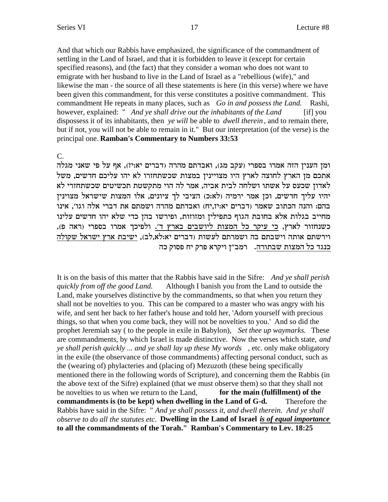And that which our Rabbis have emphasized, the significance of the commandment of settling in the Land of Israel, and that it is forbidden to leave it (except for certain specified reasons), and (the fact) that they consider a woman who does not want to emigrate with her husband to live in the Land of Israel as a "rebellious (wife)," and likewise the man - the source of all these statements is here (in this verse) where we have been given this commandment, for this verse constitutes a positive commandment. This commandment He repeats in many places, such as *Go in and possess the Land*. Rashi, however, explained: " And ye shall drive out the inhabitants of the Land [if] you dispossess it of its inhabitants, then ye will be able to *dwell therein*, and to remain there, but if not, you will not be able to remain in it." But our interpretation (of the verse) is the principal one. Ramban's Commentary to Numbers 33:53

### $C_{\cdot}$

ומן הענין הזה אמרו בספרי (עקב מג), ואבדתם מהרה (דברים יא:יז), אף על פי שאני מגלה אתכם מן הארץ לחוצה לארץ היו מצויינין במצות שכשתחזרו לא יהו עליכם חדשים, משל לאדון שכעס על אשתו ושלחה לבית אביה, אמר לה הוי מתקשטת תכשיטים שכשתחזרי לא יהיו עליך חדשים, וכן אמר ירמיה (לא:כ) הציבי לך ציונים, אלו המצות שישראל מצוינין בהם: והנה הכתוב שאמר (דברים יא:יז,יח) ואבדתם מהרה ושמתם את דברי אלה וגו׳, אינו מחייב בגלות אלא בחובת הגוף כתפילין ומזוזות, ופירשו בהן כדי שלא יהו חדשים עלינו כשנחזור לארץ, כי עיקר כל המצות ליושבים בארץ ד׳. ולפיכך אמרו בספרי (ראה פ), וירשתם אותה וישבתם בה ושמרתם לעשות (דברים יא:לא,לב), ישיבת ארץ ישראל שקולה כנגד כל המצות שבתורה. רמב״ן ויקרא פרק יח פסוק כה

It is on the basis of this matter that the Rabbis have said in the Sifre: And ye shall perish quickly from off the good Land. Although I banish you from the Land to outside the Land, make yourselves distinctive by the commandments, so that when you return they shall not be novelties to you. This can be compared to a master who was angry with his wife, and sent her back to her father's house and told her, 'Adorn yourself with precious things, so that when you come back, they will not be novelties to you.' And so did the prophet Jeremiah say (to the people in exile in Babylon), Set thee up waymarks. These are commandments, by which Israel is made distinctive. Now the verses which state, and ye shall perish quickly ... and ye shall lay up these My words, etc. only make obligatory in the exile (the observance of those commandments) affecting personal conduct, such as the (wearing of) phylacteries and (placing of) Mezuzoth (these being specifically mentioned there in the following words of Scripture), and concerning them the Rabbis (in the above text of the Sifre) explained (that we must observe them) so that they shall not be novelties to us when we return to the Land, for the main (fulfillment) of the commandments is (to be kept) when dwelling in the Land of G-d. Therefore the Rabbis have said in the Sifre: " And ye shall possess it, and dwell therein. And ye shall observe to do all the statutes etc. **Dwelling in the Land of Israel is of equal importance** to all the commandments of the Torah." Ramban's Commentary to Lev. 18:25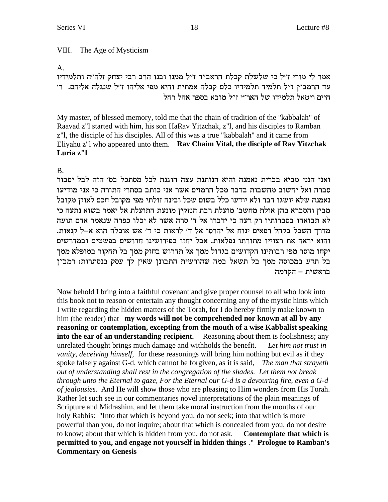# VIII. The Age of Mysticism

### $A_{\cdot}$

אמר לי מורי ז״ל כי שלשלת קבלת הראב״ד ז״ל ממנו ובנו הרב רבי יצחק זלה״ה ותלמידיו עד הרמב"ן ז"ל תלמיד תלמידיו כלם קבלה אמתית והיא מפי אליהו ז"ל שנגלה אליהם. ר' חיים ויטאל תלמידו של האר״י ז״ל מובא בספר אהל רחל

My master, of blessed memory, told me that the chain of tradition of the "kabbalah" of Raavad z"I started with him, his son HaRav Yitzchak, z"I, and his disciples to Ramban z", the disciple of his disciples. All of this was a true "kabbalah" and it came from Eliyahu z"l who appeared unto them. Rav Chaim Vital, the disciple of Rav Yitzchak Luria z''l

# **B.**

ואני הנני מביא בברית נאמנה והיא הנותנת עצה הוגנת לכל מסתכל בס׳ הזה לבל יסבור סברה ואל יחשוב מחשבות בדבר מכל הרמזים אשר אני כותב בסתרי התורה כי אני מודיעו נאמנה שלא יושגו דבר ולא יודעו כלל בשום שכל ובינה זולתי מפי מקובל חכם לאוזן מקובל מבין והסברא בהן אולת מחשב׳ מועלת רבת הנזקין מונעת התועלת אל יאמר בשוא נתעה כי לא תבואהו בסברותיו רק רעה כי ידברו אל ד׳ סרה אשר לא יכלו כפרה שנאמר אדם תועה מדרך השכל בקהל רפאים ינוח אל יהרסו אל ד׳ לראות כי ד׳ אש אוכלה הוא א–ל קנאות. והוא יראה את רצוייו מתורתו נפלאות. אבל יחזו בפירושינו חדושים בפשטים ובמדרשים יקחו מוסר מפי רבותינו הקדושים בגדול ממך אל תדרוש בחזק ממך בל תחקור במופלא ממך בל תדע במכוסה ממך בל תשאל במה שהורשית התבונן שאין לך עסק בנסתרות: רמב"ן בראשית – הקדמה

Now behold I bring into a faithful covenant and give proper counsel to all who look into this book not to reason or entertain any thought concerning any of the mystic hints which I write regarding the hidden matters of the Torah, for I do hereby firmly make known to him (the reader) that my words will not be comprehended nor known at all by any reasoning or contemplation, excepting from the mouth of a wise Kabbalist speaking into the ear of an understanding recipient. Reasoning about them is foolishness; any unrelated thought brings much damage and withholds the benefit. Let him not trust in vanity, deceiving himself, for these reasonings will bring him nothing but evil as if they spoke falsely against G-d, which cannot be forgiven, as it is said, The man that strayeth out of understanding shall rest in the congregation of the shades. Let them not break through unto the Eternal to gaze, For the Eternal our G-d is a devouring fire, even a G-d of jealousies. And He will show those who are pleasing to Him wonders from His Torah. Rather let such see in our commentaries novel interpretations of the plain meanings of Scripture and Midrashim, and let them take moral instruction from the mouths of our holy Rabbis: "Into that which is beyond you, do not seek; into that which is more powerful than you, do not inquire; about that which is concealed from you, do not desire to know; about that which is hidden from you, do not ask. Contemplate that which is permitted to you, and engage not yourself in hidden things." Prologue to Ramban's **Commentary on Genesis**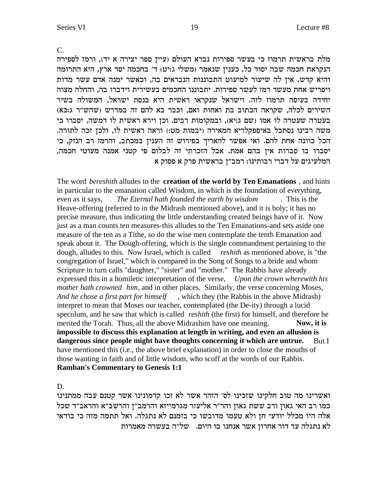$C_{\cdot}$ 

מלת בראשית תרמוז כי בעשר ספירות נברא העולם (עיין ספר יצירה א יד), ורמז לספירה הנקראת חכמה שבה יסוד כל, כענין שנאמר (משלי ג:יט) ד׳ בחכמה יסד ארץ, היא התרומה והיא קדש, אין לה שיעור למיעוט התבוננות הנבראים בה, וכאשר ימנה אדם עשר מדות ויפריש אחת מעשר רמז לעשר ספירות. יתבוננו החכמים בעשירית וידברו בה, והחלה מצוה יחידה בעיסה תרמוז לזה. וישראל שנקראו ראשית היא כנסת ישראל, המשולה בשיר השירים לכלה, שקראה הכתוב בת ואחות ואם, וכבר בא להם זה במדרש (שהש"ר ג:כא) בעטרה שעטרה לו אמו (שם ג:יא), ובמקומות רבים. וכן וירא ראשית לו דמשה, יסברו כי משה רבינו נסתכל באיספקלריא המאירה (יבמות מט:) וראה ראשית לו, ולכן זכה לתורה. הכל כוונה אחת להם. ואי אפשר להאריך בפירוש זה הענין במכתב, והרמז רב הנזק, כי יסברו בו סברות אין בהם אמת. אבל הזכרתי זה לבלום פי קטני אמנה מעוטי חכמה, המלעיגים על דברי רבותינו: רמב״ן בראשית פרק א פסוק א

The word *bereshith* alludes to the **creation of the world by Ten Emanations**, and hints in particular to the emanation called Wisdom, in which is the foundation of everything, The Eternal hath founded the earth by wisdom even as it says. . This is the Heave-offering (referred to in the Midrash mentioned above), and it is holy; it has no precise measure, thus indicating the little understanding created beings have of it. Now just as a man counts ten measures-this alludes to the Ten Emanations-and sets aside one measure of the ten as a Tithe, so do the wise men contemplate the tenth Emanation and speak about it. The Dough-offering, which is the single commandment pertaining to the dough, alludes to this. Now Israel, which is called reshith as mentioned above, is "the congregation of Israel," which is compared in the Song of Songs to a bride and whom Scripture in turn calls "daughter," "sister" and "mother." The Rabbis have already expressed this in a homiletic interpretation of the verse, Upon the crown wherewith his mother hath crowned him, and in other places. Similarly, the verse concerning Moses, And he chose a first part for himself, which they (the Rabbis in the above Midrash) interpret to mean that Moses our teacher, contemplated (the De-ity) through a lucid speculum, and he saw that which is called *reshith* (the first) for himself, and therefore he merited the Torah. Thus, all the above Midrashim have one meaning. Now. it is impossible to discuss this explanation at length in writing, and even an allusion is dangerous since people might have thoughts concerning it which are untrue. But I have mentioned this (i.e., the above brief explanation) in order to close the mouths of those wanting in faith and of little wisdom, who scoff at the words of our Rabbis. **Ramban's Commentary to Genesis 1:1** 

D.

ואשרינו מה טוב חלקינו שזכינו לס׳ הזהר אשר לא זכו קדמונינו אשר קטנם עבה ממתנינו כמו רב האי גאון ורב ששת גאון והר"ר אליעזר מגרמייזא והרמב"ן והרשב"א והראב"ד שכל אלה היו מכלל יודעי חן ולא טעמו מדובשו כי בזמנם לא נתגלה. ואל תתמה מזה כי בודאי לא נתגלה עד דור אחרון אשר אנחנו בו היום. עשל"ה בעשרה מאמרות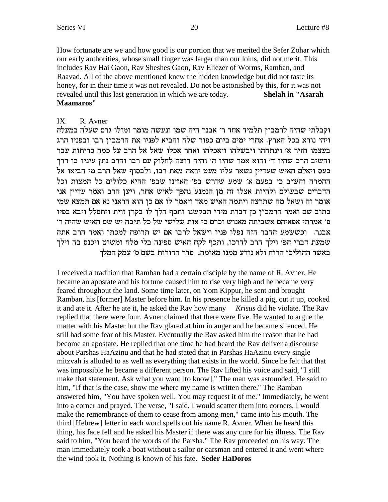How fortunate are we and how good is our portion that we merited the Sefer Zohar which our early authorities, whose small finger was larger than our loins, did not merit. This includes Rav Hai Gaon, Rav Sheshes Gaon, Rav Eliezer of Worms, Ramban, and Raavad. All of the above mentioned knew the hidden knowledge but did not taste its honey, for in their time it was not revealed. Do not be astonished by this, for it was not revealed until this last generation in which we are today. **Shelah in "Asarah** Maamaros"

#### $IX$ R. Avner

וקבלתי שהיה לרמב"ן תלמיד אחד ר' אבנר היה שמו ונעשה מומר ומזלו גרם שעלה במעלה ויהי נורא בכל הארץ. אחרי ימים ביום כפור שלח והביא לפניו את הרמב״ז רבו ובפניו הרג בעצמו חזיר א׳ וינתחהו ויבשלהו ויאכלהו ואחר אכלו שאל אל הרב על כמה כריתות עבר והשיב הרב שהיו ד׳ והוא אמר שהיו ה׳ והיה רוצה לחלוק עם רבו והרב נתן עיניו בו דרך כעס ויאלם האיש שעדיין נשאר עליו מעט יראה מאת רבו, ולבסוף שאל הרב מי הביאו אל ההמרה והשיב כי בפעם א׳ שמע שדרש בפ׳ האזינו שבפ׳ ההיא כלולים כל המצות וכל הדברים שבעולם ולהיות אצלו זה מן הנמנע נהפך לאיש אחר, ויען הרב ואמר עדיין אני אומר זה ושאל מה שתרצה ויתמה האיש מאד ויאמר לו אם כן הוא הראני נא אם תמצא שמי כתוב שם ואמר הרמב"ן כן דברת מידי תבקשנו ותכף הלך לו בקרן זוית ויתפלל ויבא בפיו 'פ' אמרתי אפאיהם אשביתה מאנוש זכרם כי אות שלישי של כל תיבה יש שם האיש שהיה ר אבנר. וכששמע הדבר הזה נפלו פניו וישאל לרבו אם יש תרופה למכתו ואמר הרב אתה שמעת דברי הפ' וילך הרב לדרכו, ותכף לקח האיש ספינה בלי מלח ומשוט ויכנס בה וילך באשר ההוליכו הרוח ולא נודע ממנו מאומה. סדר הדורות בשם ס׳ עמק המלך

I received a tradition that Ramban had a certain disciple by the name of R. Avner. He became an apostate and his fortune caused him to rise very high and he became very feared throughout the land. Some time later, on Yom Kippur, he sent and brought Ramban, his [former] Master before him. In his presence he killed a pig, cut it up, cooked it and ate it. After he ate it, he asked the Rav how many Krisus did he violate. The Rav replied that there were four. Avner claimed that there were five. He wanted to argue the matter with his Master but the Rav glared at him in anger and he became silenced. He still had some fear of his Master. Eventually the Rav asked him the reason that he had become an apostate. He replied that one time he had heard the Rav deliver a discourse about Parshas HaAzinu and that he had stated that in Parshas HaAzinu every single mitzvah is alluded to as well as everything that exists in the world. Since he felt that that was impossible he became a different person. The Rav lifted his voice and said, "I still make that statement. Ask what you want [to know]." The man was astounded. He said to him, "If that is the case, show me where my name is written there." The Ramban answered him, "You have spoken well. You may request it of me." Immediately, he went into a corner and prayed. The verse, "I said, I would scatter them into corners, I would make the remembrance of them to cease from among men," came into his mouth. The third [Hebrew] letter in each word spells out his name R. Avner. When he heard this thing, his face fell and he asked his Master if there was any cure for his illness. The Rav said to him, "You heard the words of the Parsha." The Rav proceeded on his way. The man immediately took a boat without a sailor or oarsman and entered it and went where the wind took it. Nothing is known of his fate. Seder HaDoros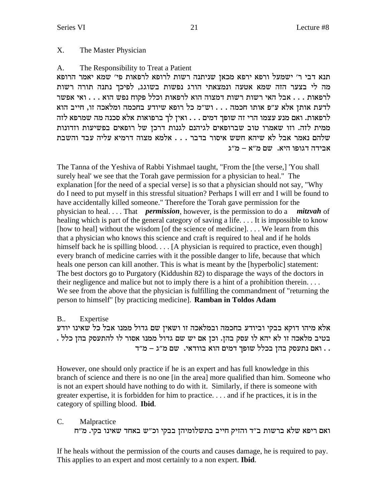#### $X_{\cdot}$ The Master Physician

#### $A_{1}$ The Responsibility to Treat a Patient

תנא דבי ר' ישמעל ורפא ירפא מכאן שניתנה רשות לרופא לרפאות פי' שמא יאמר הרופא מה לי בצער הזה שמא אטעה ונמצאתי הורג נפשות בשוגג, לפיכך נתנה תורה רשות לרפאות . . . אבל האי רשות רשות דמצוה הוא לרפאות וכלל פקוח נפש הוא . . . . ואי אפשר לדעת אותן אלא ע״פ אותו חכמה . . . וש״מ כל רופא שיודע בחכמה ומלאכה זו, חייב הוא לרפאות. ואם מנע עצמו הרי זה שופך דמים . . . ואין לך ברפואות אלא סכנה מה שמרפא לזה ממית לזה. וזו שאמרו טוב שברופאים לגיהנם לגנות דרכן של רופאים בפשיעות וזדונות השבת נאמר אבל לא שיהא חשש איסור בדבר . . . אלמא מצוה דרמיא עליה עבד והשבת  $w$ אבידה דגופו היא. שם מ"א – מ"ג

The Tanna of the Yeshiva of Rabbi Yishmael taught, "From the [the verse,] 'You shall surely heal' we see that the Torah gave permission for a physician to heal." The explanation [for the need of a special verse] is so that a physician should not say, "Why do I need to put myself in this stressful situation? Perhaps I will err and I will be found to have accidentally killed someone." Therefore the Torah gave permission for the physician to heal.... That *permission*, however, is the permission to do a *mitzvah* of healing which is part of the general category of saving a life.... It is impossible to know [how to heal] without the wisdom [of the science of medicine]... We learn from this that a physician who knows this science and craft is required to heal and if he holds himself back he is spilling blood.... [A physician is required to practice, even though] every branch of medicine carries with it the possible danger to life, because that which heals one person can kill another. This is what is meant by the [hyperbolic] statement: The best doctors go to Purgatory (Kiddushin 82) to disparage the ways of the doctors in their negligence and malice but not to imply there is a hint of a prohibition therein.  $\dots$ We see from the above that the physician is fulfilling the commandment of "returning the person to himself" [by practicing medicine]. Ramban in Toldos Adam

Expertise  $B_{\cdot \cdot}$ 

אלא מיהו דוקא בבקי וביודע בחכמה ובמלאכה זו ושאין שם גדול ממנו אבל כל שאינו יודע בטיב מלאכה זו לא יהא לו עסק בהן. וכן אם יש שם גדול ממנו אסור לו להתעסק בהן כלל . . ואם נתעסק בהן בכלל שופך דמים הוא בוודאי. שם מ"ג – מ"ד

However, one should only practice if he is an expert and has full knowledge in this branch of science and there is no one [in the area] more qualified than him. Someone who is not an expert should have nothing to do with it. Similarly, if there is someone with greater expertise, it is forbidden for him to practice.... and if he practices, it is in the category of spilling blood. **Ibid.** 

### $C_{\cdot}$ Malpractice

ואם ריפא שלא ברשות ב"ד והזיק חייב בתשלומיהן בבקי וכ"ש באחד שאינו בקי. מ"ח

If he heals without the permission of the courts and causes damage, he is required to pay. This applies to an expert and most certainly to a non expert. Ibid.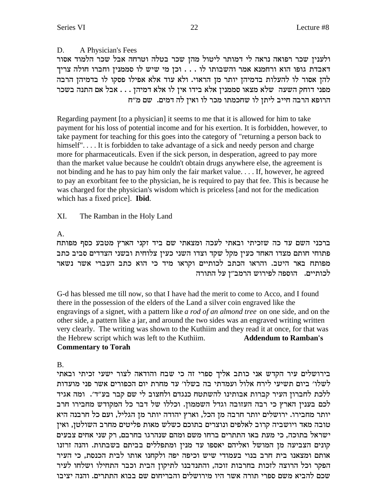#### A Physician's Fees D.

ולענין שכר רפואה נראה לי דמותר ליטול מהן שכר בטלה וטרחה אבל שכר הלמוד אסור דאבדת גופו הוא ורחמנא אמר והשבותו לו . . . וכן מי שיש לו סממנין וחברו חולה צריך להן אסור לו להעלות בדמיהן יותר מן הראוי. ולא עוד אלא אפילו פסקו לו בדמיהן הרבה מפני דוחק השעה שלא מצאו סממנין אלא בידו אין לו אלא דמיהן . . . אבל אם התנה בשכר הרופא הרבה חייב ליתן לו שחכמתו מכר לו ואין לה דמים. שם מ"ח

Regarding payment [to a physician] it seems to me that it is allowed for him to take payment for his loss of potential income and for his exertion. It is forbidden, however, to take payment for teaching for this goes into the category of "returning a person back to himself".... It is forbidden to take advantage of a sick and needy person and charge more for pharmaceuticals. Even if the sick person, in desperation, agreed to pay more than the market value because he couldn't obtain drugs anywhere else, the agreement is not binding and he has to pay him only the fair market value.... If, however, he agreed to pay an exorbitant fee to the physician, he is required to pay that fee. This is because he was charged for the physician's wisdom which is priceless [and not for the medication which has a fixed price]. **Ibid.** 

### XI. The Ramban in the Holy Land

# $\mathbf{A}$

ברכני השם עד כה שזכיתי ובאתי לעכה ומצאתי שם ביד זקני הארץ מטבע כסף מפותח פתוחי חותם מצדו האחד כעין מקל שקד וצדו השני כעין צלוחית ובשני הצדדים סביב כתב מפותח באר היטב. והראו הכתב לכותיים וקראו מיד כי הוא כתב העברי אשר נשאר לכותיים. הוספה לפירוש הרמב"ן על התורה

G-d has blessed me till now, so that I have had the merit to come to Acco, and I found there in the possession of the elders of the Land a silver coin engraved like the engravings of a signet, with a pattern like *a rod of an almond tree* on one side, and on the other side, a pattern like a jar, and around the two sides was an engraved writing written very clearly. The writing was shown to the Kuthiim and they read it at once, for that was the Hebrew script which was left to the Kuthiim. **Addendum to Ramban's Commentary to Torah** 

# $\mathbf{B}$

בירושלים עיר הקדש אני כותב אליך ספרי זה כי שבח והודאה לצור ישעי זכיתי ובאתי לשלו' ביום תשיעי לירח אלול ועמדתי בה בשלו' עד מחרת יום הכפורים אשר פני מועדות ללכת לחברון העיר קברות אבותינו להשתטח כנגדם ולחצוב לי שם קבר בע"ד'. ומה אגיד לכם בענין הארץ כי רבה העזובה וגדל השממון. וכללו של דבר כל המקודש מחבירו חרב יותר מחבירו. ירושלים יותר חרבה מן הכל, וארץ יהודה יותר מן הגליל, ועם כל חרבנה היא טובה מאד ויושביה קרוב לאלפים ונוצרים בתוכם כשלש מאות פליטים מחרב השולטן, ואין ישראל בתוכה, כי מעת באו התתרים ברחו משם ומהם שנהרגו בחרבם, רק שני אחים צבעים קונים הצביעה מן המושל ואליהם יאספו עד מנין ומתפללים בביתם בשבתות. והנה זרזנו אותם ומצאנו בית חרב בנוי בעמודי שיש וכיפה יפה ולקחנו אותו לבית הכנסת, כי העיר הפקר וכל הרוצה לזכות בחרבות זוכה, והתנדבנו לתיקון הבית וכבר התחילו ושלחו לעיר .<br>שכם להביא משם ספרי תורה אשר היו מירושלים והבריחום שם בבוא התתרים. והנה יציבו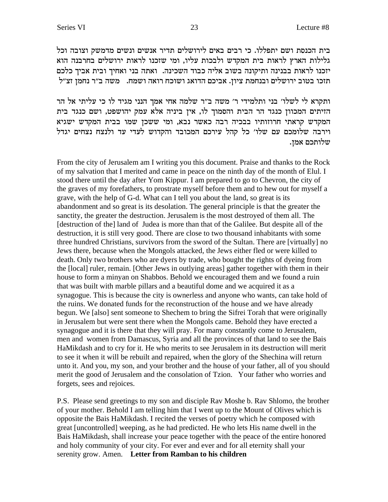בית הכנסת ושם יתפללו. כי רבים באים לירושלים תדיר אנשים ונשים מדמשק וצובה וכל גלילות הארץ לראות בית המקדש ולבכות עליו, ומי שזכנו לראות ירושלים בחרבנה הוא יזכנו לראות בבנינה ותיקונה בשוב אליה כבוד השכינה. ואתה בני ואחיך ובית אביך כלכם תזכו בטוב ירושלים ובנחמת ציון. אביכם הדואג ושוכח רואה ושמח. משה ב״ר נחמן זצ״ל

ותקרא לי לשלו׳ בני ותלמידי ר׳ משה ב״ר שלמה אחי אמך הנני מגיד לו כי עליתי אל הר הזיתים המכוון כנגד הר הבית והסמוך לו, אין ביניה אלא עמק יהושפט, ושם כנגד בית המקדש קראתי חרוזותיו בבכיה רבה כאשר נבא, ומי ששכן שמו בבית המקדש ישגיא וירבה שלומכם עם שלו׳ כל קהל עירכם המכובד והקדוש לעדי עד ולנצח נצחים יגדל שלותכם אמז.

From the city of Jerusalem am I writing you this document. Praise and thanks to the Rock of my salvation that I merited and came in peace on the ninth day of the month of Elul. I stood there until the day after Yom Kippur. I am prepared to go to Chevron, the city of the graves of my forefathers, to prostrate myself before them and to hew out for myself a grave, with the help of G-d. What can I tell you about the land, so great is its abandonment and so great is its desolation. The general principle is that the greater the sanctity, the greater the destruction. Jerusalem is the most destroyed of them all. The [destruction of the] land of Judea is more than that of the Galilee. But despite all of the destruction, it is still very good. There are close to two thousand inhabitants with some three hundred Christians, survivors from the sword of the Sultan. There are [virtually] no Jews there, because when the Mongols attacked, the Jews either fled or were killed to death. Only two brothers who are dyers by trade, who bought the rights of dyeing from the [local] ruler, remain. [Other Jews in outlying areas] gather together with them in their house to form a minyan on Shabbos. Behold we encouraged them and we found a ruin that was built with marble pillars and a beautiful dome and we acquired it as a synagogue. This is because the city is ownerless and anyone who wants, can take hold of the ruins. We donated funds for the reconstruction of the house and we have already begun. We [also] sent someone to Shechem to bring the Sifrei Torah that were originally in Jerusalem but were sent there when the Mongols came. Behold they have erected a synagogue and it is there that they will pray. For many constantly come to Jerusalem, men and women from Damascus, Syria and all the provinces of that land to see the Bais HaMikdash and to cry for it. He who merits to see Jerusalem in its destruction will merit to see it when it will be rebuilt and repaired, when the glory of the Shechina will return unto it. And you, my son, and your brother and the house of your father, all of you should merit the good of Jerusalem and the consolation of Tzion. Your father who worries and forgets, sees and rejoices.

P.S. Please send greetings to my son and disciple Ray Moshe b. Ray Shlomo, the brother of your mother. Behold I am telling him that I went up to the Mount of Olives which is opposite the Bais HaMikdash. I recited the verses of poetry which he composed with great [uncontrolled] weeping, as he had predicted. He who lets His name dwell in the Bais HaMikdash, shall increase your peace together with the peace of the entire honored and holy community of your city. For ever and ever and for all eternity shall your serenity grow. Amen. Letter from Ramban to his children